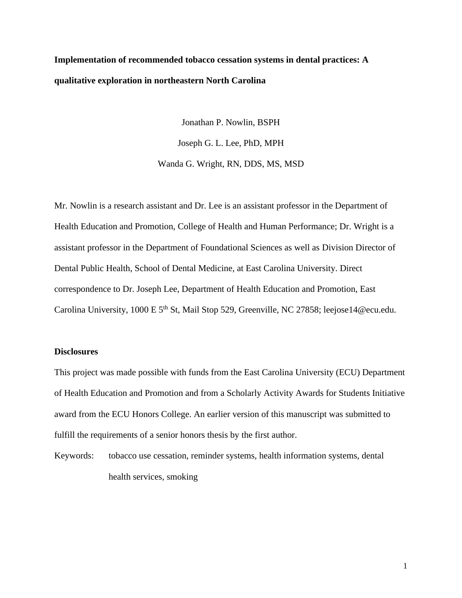# **Implementation of recommended tobacco cessation systems in dental practices: A qualitative exploration in northeastern North Carolina**

Jonathan P. Nowlin, BSPH Joseph G. L. Lee, PhD, MPH Wanda G. Wright, RN, DDS, MS, MSD

Mr. Nowlin is a research assistant and Dr. Lee is an assistant professor in the Department of Health Education and Promotion, College of Health and Human Performance; Dr. Wright is a assistant professor in the Department of Foundational Sciences as well as Division Director of Dental Public Health, School of Dental Medicine, at East Carolina University. Direct correspondence to Dr. Joseph Lee, Department of Health Education and Promotion, East Carolina University, 1000 E 5<sup>th</sup> St, Mail Stop 529, Greenville, NC 27858; leejose14@ecu.edu.

#### **Disclosures**

This project was made possible with funds from the East Carolina University (ECU) Department of Health Education and Promotion and from a Scholarly Activity Awards for Students Initiative award from the ECU Honors College. An earlier version of this manuscript was submitted to fulfill the requirements of a senior honors thesis by the first author.

Keywords: tobacco use cessation, reminder systems, health information systems, dental health services, smoking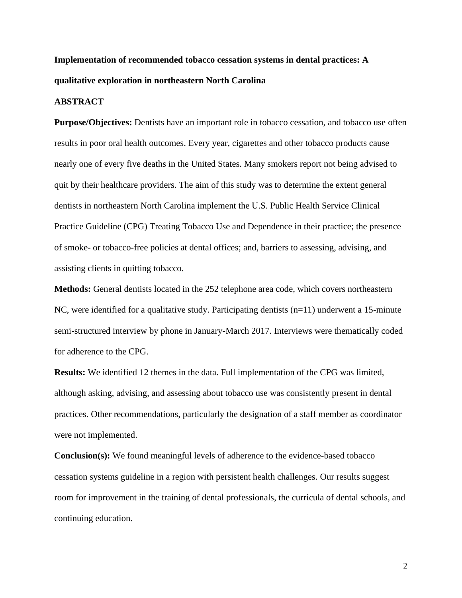## **Implementation of recommended tobacco cessation systems in dental practices: A qualitative exploration in northeastern North Carolina**

#### **ABSTRACT**

**Purpose/Objectives:** Dentists have an important role in tobacco cessation, and tobacco use often results in poor oral health outcomes. Every year, cigarettes and other tobacco products cause nearly one of every five deaths in the United States. Many smokers report not being advised to quit by their healthcare providers. The aim of this study was to determine the extent general dentists in northeastern North Carolina implement the U.S. Public Health Service Clinical Practice Guideline (CPG) Treating Tobacco Use and Dependence in their practice; the presence of smoke- or tobacco-free policies at dental offices; and, barriers to assessing, advising, and assisting clients in quitting tobacco.

**Methods:** General dentists located in the 252 telephone area code, which covers northeastern NC, were identified for a qualitative study. Participating dentists (n=11) underwent a 15-minute semi-structured interview by phone in January-March 2017. Interviews were thematically coded for adherence to the CPG.

**Results:** We identified 12 themes in the data. Full implementation of the CPG was limited, although asking, advising, and assessing about tobacco use was consistently present in dental practices. Other recommendations, particularly the designation of a staff member as coordinator were not implemented.

**Conclusion(s):** We found meaningful levels of adherence to the evidence-based tobacco cessation systems guideline in a region with persistent health challenges. Our results suggest room for improvement in the training of dental professionals, the curricula of dental schools, and continuing education.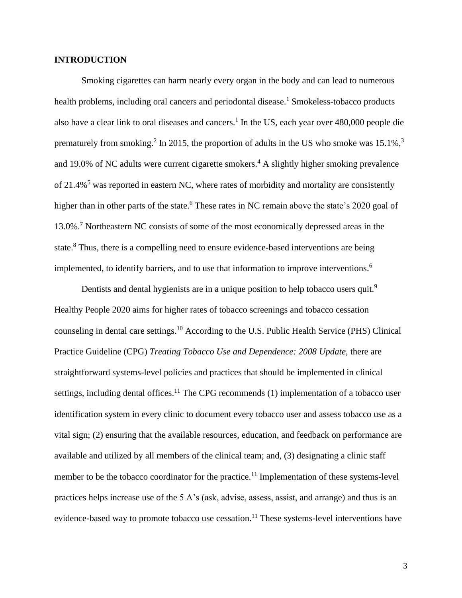#### **INTRODUCTION**

Smoking cigarettes can harm nearly every organ in the body and can lead to numerous health problems, including oral cancers and periodontal disease.<sup>1</sup> Smokeless-tobacco products also have a clear link to oral diseases and cancers. 1 In the US, each year over 480,000 people die prematurely from smoking.<sup>2</sup> In 2015, the proportion of adults in the US who smoke was 15.1%,<sup>3</sup> and 19.0% of NC adults were current cigarette smokers. <sup>4</sup> A slightly higher smoking prevalence of  $21.4\%$ <sup>5</sup> was reported in eastern NC, where rates of morbidity and mortality are consistently higher than in other parts of the state.<sup>6</sup> These rates in NC remain above the state's 2020 goal of 13.0%. <sup>7</sup> Northeastern NC consists of some of the most economically depressed areas in the state.<sup>8</sup> Thus, there is a compelling need to ensure evidence-based interventions are being implemented, to identify barriers, and to use that information to improve interventions. 6

Dentists and dental hygienists are in a unique position to help tobacco users quit.<sup>9</sup> Healthy People 2020 aims for higher rates of tobacco screenings and tobacco cessation counseling in dental care settings. <sup>10</sup> According to the U.S. Public Health Service (PHS) Clinical Practice Guideline (CPG) *Treating Tobacco Use and Dependence: 2008 Update*, there are straightforward systems-level policies and practices that should be implemented in clinical settings, including dental offices.<sup>11</sup> The CPG recommends (1) implementation of a tobacco user identification system in every clinic to document every tobacco user and assess tobacco use as a vital sign; (2) ensuring that the available resources, education, and feedback on performance are available and utilized by all members of the clinical team; and, (3) designating a clinic staff member to be the tobacco coordinator for the practice.<sup>11</sup> Implementation of these systems-level practices helps increase use of the 5 A's (ask, advise, assess, assist, and arrange) and thus is an evidence-based way to promote tobacco use cessation.<sup>11</sup> These systems-level interventions have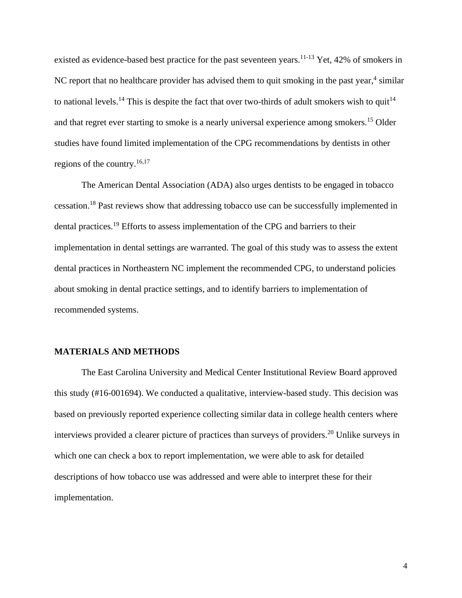existed as evidence-based best practice for the past seventeen years.<sup>11-13</sup> Yet, 42% of smokers in NC report that no healthcare provider has advised them to quit smoking in the past year,<sup>4</sup> similar to national levels.<sup>14</sup> This is despite the fact that over two-thirds of adult smokers wish to quit<sup>14</sup> and that regret ever starting to smoke is a nearly universal experience among smokers.<sup>15</sup> Older studies have found limited implementation of the CPG recommendations by dentists in other regions of the country.<sup>16,17</sup>

The American Dental Association (ADA) also urges dentists to be engaged in tobacco cessation.<sup>18</sup> Past reviews show that addressing tobacco use can be successfully implemented in dental practices.<sup>19</sup> Efforts to assess implementation of the CPG and barriers to their implementation in dental settings are warranted. The goal of this study was to assess the extent dental practices in Northeastern NC implement the recommended CPG, to understand policies about smoking in dental practice settings, and to identify barriers to implementation of recommended systems.

#### **MATERIALS AND METHODS**

The East Carolina University and Medical Center Institutional Review Board approved this study (#16-001694). We conducted a qualitative, interview-based study. This decision was based on previously reported experience collecting similar data in college health centers where interviews provided a clearer picture of practices than surveys of providers. <sup>20</sup> Unlike surveys in which one can check a box to report implementation, we were able to ask for detailed descriptions of how tobacco use was addressed and were able to interpret these for their implementation.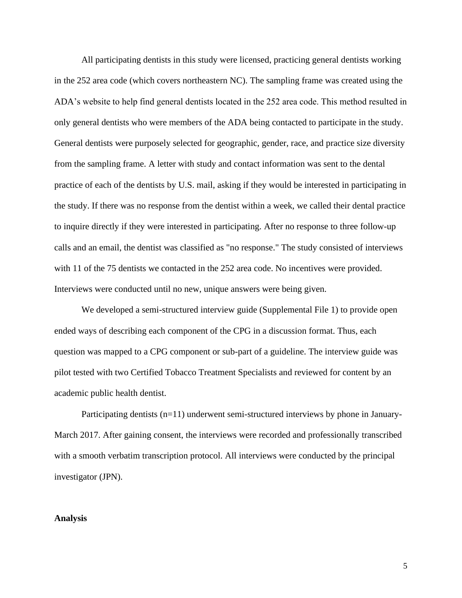All participating dentists in this study were licensed, practicing general dentists working in the 252 area code (which covers northeastern NC). The sampling frame was created using the ADA's website to help find general dentists located in the 252 area code. This method resulted in only general dentists who were members of the ADA being contacted to participate in the study. General dentists were purposely selected for geographic, gender, race, and practice size diversity from the sampling frame. A letter with study and contact information was sent to the dental practice of each of the dentists by U.S. mail, asking if they would be interested in participating in the study. If there was no response from the dentist within a week, we called their dental practice to inquire directly if they were interested in participating. After no response to three follow-up calls and an email, the dentist was classified as "no response." The study consisted of interviews with 11 of the 75 dentists we contacted in the 252 area code. No incentives were provided. Interviews were conducted until no new, unique answers were being given.

We developed a semi-structured interview guide (Supplemental File 1) to provide open ended ways of describing each component of the CPG in a discussion format. Thus, each question was mapped to a CPG component or sub-part of a guideline. The interview guide was pilot tested with two Certified Tobacco Treatment Specialists and reviewed for content by an academic public health dentist.

Participating dentists (n=11) underwent semi-structured interviews by phone in January-March 2017. After gaining consent, the interviews were recorded and professionally transcribed with a smooth verbatim transcription protocol. All interviews were conducted by the principal investigator (JPN).

#### **Analysis**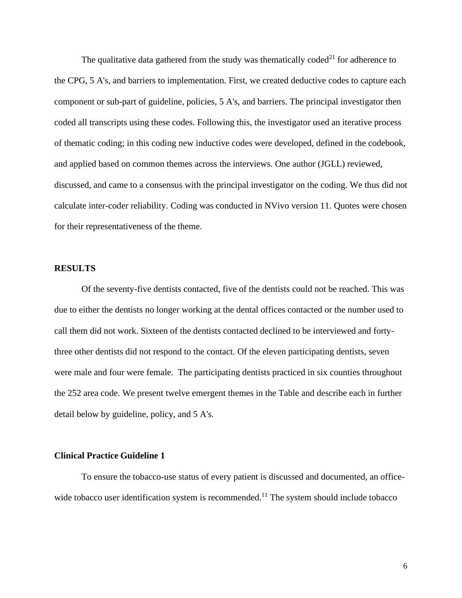The qualitative data gathered from the study was thematically coded<sup>21</sup> for adherence to the CPG, 5 A's, and barriers to implementation. First, we created deductive codes to capture each component or sub-part of guideline, policies, 5 A's, and barriers. The principal investigator then coded all transcripts using these codes. Following this, the investigator used an iterative process of thematic coding; in this coding new inductive codes were developed, defined in the codebook, and applied based on common themes across the interviews. One author (JGLL) reviewed, discussed, and came to a consensus with the principal investigator on the coding. We thus did not calculate inter-coder reliability. Coding was conducted in NVivo version 11. Quotes were chosen for their representativeness of the theme.

#### **RESULTS**

Of the seventy-five dentists contacted, five of the dentists could not be reached. This was due to either the dentists no longer working at the dental offices contacted or the number used to call them did not work. Sixteen of the dentists contacted declined to be interviewed and fortythree other dentists did not respond to the contact. Of the eleven participating dentists, seven were male and four were female. The participating dentists practiced in six counties throughout the 252 area code. We present twelve emergent themes in the Table and describe each in further detail below by guideline, policy, and 5 A's.

#### **Clinical Practice Guideline 1**

To ensure the tobacco-use status of every patient is discussed and documented, an officewide tobacco user identification system is recommended.<sup>11</sup> The system should include tobacco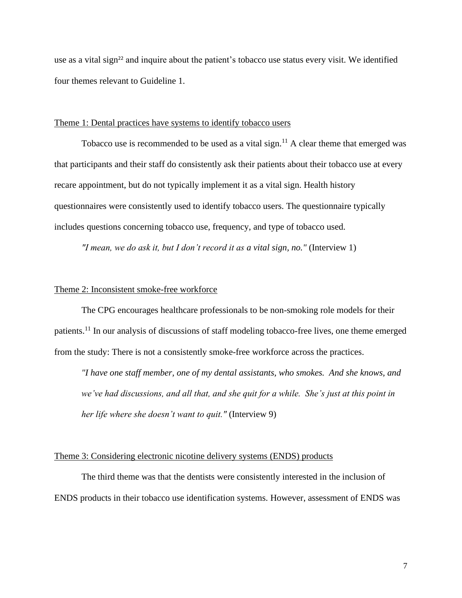use as a vital sign<sup>22</sup> and inquire about the patient's tobacco use status every visit. We identified four themes relevant to Guideline 1.

#### Theme 1: Dental practices have systems to identify tobacco users

Tobacco use is recommended to be used as a vital sign.<sup>11</sup> A clear theme that emerged was that participants and their staff do consistently ask their patients about their tobacco use at every recare appointment, but do not typically implement it as a vital sign. Health history questionnaires were consistently used to identify tobacco users. The questionnaire typically includes questions concerning tobacco use, frequency, and type of tobacco used.

*"I mean, we do ask it, but I don't record it as a vital sign, no."* (Interview 1)

#### Theme 2: Inconsistent smoke-free workforce

The CPG encourages healthcare professionals to be non-smoking role models for their patients.<sup>11</sup> In our analysis of discussions of staff modeling tobacco-free lives, one theme emerged from the study: There is not a consistently smoke-free workforce across the practices.

*"I have one staff member, one of my dental assistants, who smokes. And she knows, and we've had discussions, and all that, and she quit for a while. She's just at this point in her life where she doesn't want to quit."* (Interview 9)

#### Theme 3: Considering electronic nicotine delivery systems (ENDS) products

The third theme was that the dentists were consistently interested in the inclusion of ENDS products in their tobacco use identification systems. However, assessment of ENDS was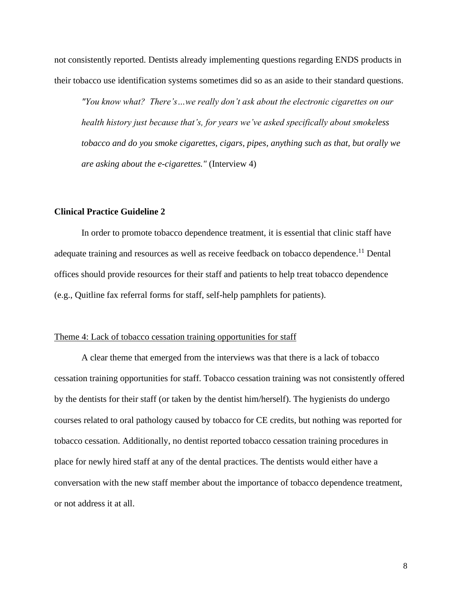not consistently reported. Dentists already implementing questions regarding ENDS products in their tobacco use identification systems sometimes did so as an aside to their standard questions.

*"You know what? There's…we really don't ask about the electronic cigarettes on our health history just because that's, for years we've asked specifically about smokeless tobacco and do you smoke cigarettes, cigars, pipes, anything such as that, but orally we are asking about the e-cigarettes."* (Interview 4)

#### **Clinical Practice Guideline 2**

In order to promote tobacco dependence treatment, it is essential that clinic staff have adequate training and resources as well as receive feedback on tobacco dependence.<sup>11</sup> Dental offices should provide resources for their staff and patients to help treat tobacco dependence (e.g., Quitline fax referral forms for staff, self-help pamphlets for patients).

#### Theme 4: Lack of tobacco cessation training opportunities for staff

A clear theme that emerged from the interviews was that there is a lack of tobacco cessation training opportunities for staff. Tobacco cessation training was not consistently offered by the dentists for their staff (or taken by the dentist him/herself). The hygienists do undergo courses related to oral pathology caused by tobacco for CE credits, but nothing was reported for tobacco cessation. Additionally, no dentist reported tobacco cessation training procedures in place for newly hired staff at any of the dental practices. The dentists would either have a conversation with the new staff member about the importance of tobacco dependence treatment, or not address it at all.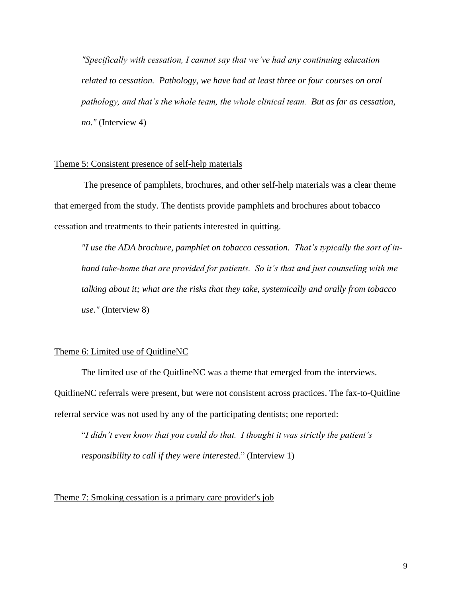*"Specifically with cessation, I cannot say that we've had any continuing education related to cessation. Pathology, we have had at least three or four courses on oral pathology, and that's the whole team, the whole clinical team. But as far as cessation, no."* (Interview 4)

#### Theme 5: Consistent presence of self-help materials

The presence of pamphlets, brochures, and other self-help materials was a clear theme that emerged from the study. The dentists provide pamphlets and brochures about tobacco cessation and treatments to their patients interested in quitting.

*"I use the ADA brochure, pamphlet on tobacco cessation. That's typically the sort of inhand take-home that are provided for patients. So it's that and just counseling with me talking about it; what are the risks that they take, systemically and orally from tobacco use."* (Interview 8)

#### Theme 6: Limited use of QuitlineNC

The limited use of the QuitlineNC was a theme that emerged from the interviews. QuitlineNC referrals were present, but were not consistent across practices. The fax-to-Quitline referral service was not used by any of the participating dentists; one reported:

"*I didn't even know that you could do that. I thought it was strictly the patient's responsibility to call if they were interested.*" (Interview 1)

Theme 7: Smoking cessation is a primary care provider's job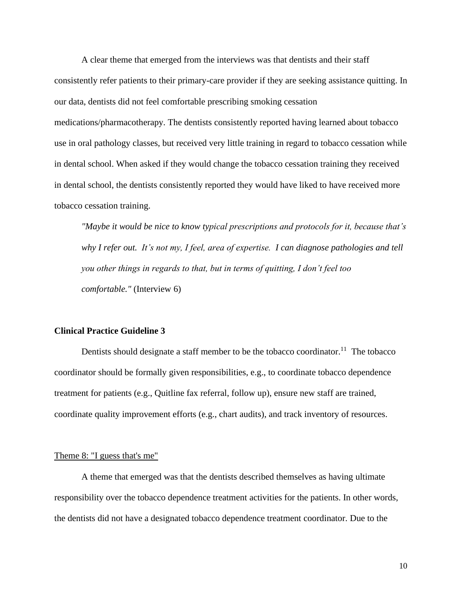A clear theme that emerged from the interviews was that dentists and their staff consistently refer patients to their primary-care provider if they are seeking assistance quitting. In our data, dentists did not feel comfortable prescribing smoking cessation medications/pharmacotherapy. The dentists consistently reported having learned about tobacco use in oral pathology classes, but received very little training in regard to tobacco cessation while in dental school. When asked if they would change the tobacco cessation training they received in dental school, the dentists consistently reported they would have liked to have received more tobacco cessation training.

*"Maybe it would be nice to know typical prescriptions and protocols for it, because that's why I refer out. It's not my, I feel, area of expertise. I can diagnose pathologies and tell you other things in regards to that, but in terms of quitting, I don't feel too comfortable."* (Interview 6)

#### **Clinical Practice Guideline 3**

Dentists should designate a staff member to be the tobacco coordinator.<sup>11</sup> The tobacco coordinator should be formally given responsibilities, e.g., to coordinate tobacco dependence treatment for patients (e.g., Quitline fax referral, follow up), ensure new staff are trained, coordinate quality improvement efforts (e.g., chart audits), and track inventory of resources.

#### Theme 8: "I guess that's me"

A theme that emerged was that the dentists described themselves as having ultimate responsibility over the tobacco dependence treatment activities for the patients. In other words, the dentists did not have a designated tobacco dependence treatment coordinator. Due to the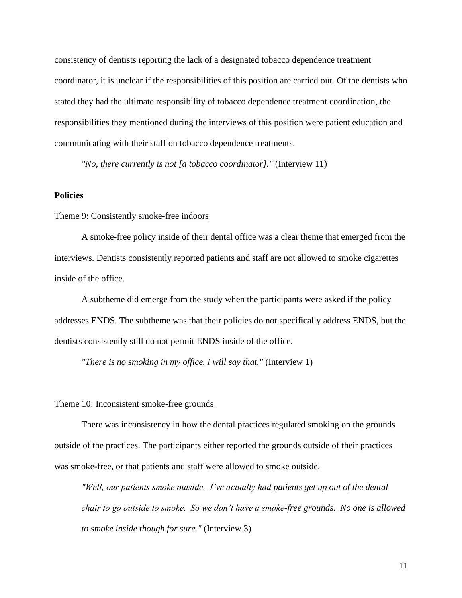consistency of dentists reporting the lack of a designated tobacco dependence treatment coordinator, it is unclear if the responsibilities of this position are carried out. Of the dentists who stated they had the ultimate responsibility of tobacco dependence treatment coordination, the responsibilities they mentioned during the interviews of this position were patient education and communicating with their staff on tobacco dependence treatments.

*"No, there currently is not [a tobacco coordinator]."* (Interview 11)

#### **Policies**

#### Theme 9: Consistently smoke-free indoors

A smoke-free policy inside of their dental office was a clear theme that emerged from the interviews. Dentists consistently reported patients and staff are not allowed to smoke cigarettes inside of the office.

A subtheme did emerge from the study when the participants were asked if the policy addresses ENDS. The subtheme was that their policies do not specifically address ENDS, but the dentists consistently still do not permit ENDS inside of the office.

*"There is no smoking in my office. I will say that."* (Interview 1)

#### Theme 10: Inconsistent smoke-free grounds

There was inconsistency in how the dental practices regulated smoking on the grounds outside of the practices. The participants either reported the grounds outside of their practices was smoke-free, or that patients and staff were allowed to smoke outside.

*"Well, our patients smoke outside. I've actually had patients get up out of the dental chair to go outside to smoke. So we don't have a smoke-free grounds. No one is allowed to smoke inside though for sure."* (Interview 3)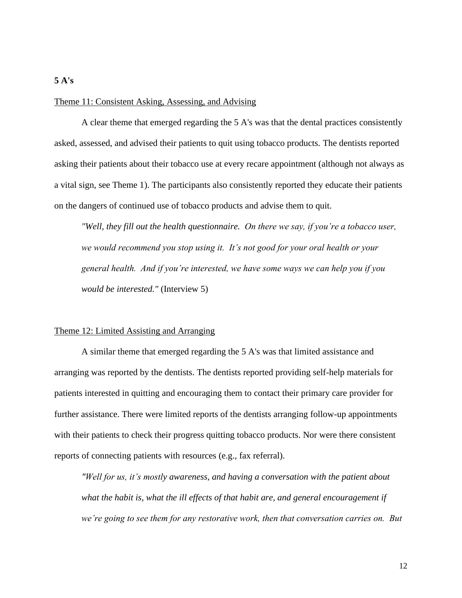# Theme 11: Consistent Asking, Assessing, and Advising

A clear theme that emerged regarding the 5 A's was that the dental practices consistently asked, assessed, and advised their patients to quit using tobacco products. The dentists reported asking their patients about their tobacco use at every recare appointment (although not always as a vital sign, see Theme 1). The participants also consistently reported they educate their patients on the dangers of continued use of tobacco products and advise them to quit.

*"Well, they fill out the health questionnaire. On there we say, if you're a tobacco user, we would recommend you stop using it. It's not good for your oral health or your general health. And if you're interested, we have some ways we can help you if you would be interested."* (Interview 5)

#### Theme 12: Limited Assisting and Arranging

A similar theme that emerged regarding the 5 A's was that limited assistance and arranging was reported by the dentists. The dentists reported providing self-help materials for patients interested in quitting and encouraging them to contact their primary care provider for further assistance. There were limited reports of the dentists arranging follow-up appointments with their patients to check their progress quitting tobacco products. Nor were there consistent reports of connecting patients with resources (e.g., fax referral).

*"Well for us, it's mostly awareness, and having a conversation with the patient about what the habit is, what the ill effects of that habit are, and general encouragement if we're going to see them for any restorative work, then that conversation carries on. But* 

**5 A's**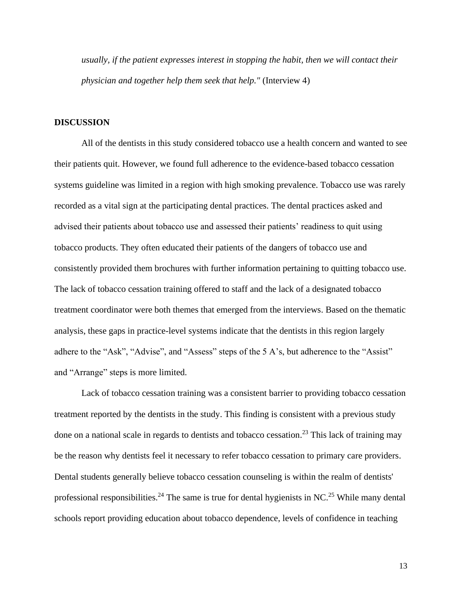*usually, if the patient expresses interest in stopping the habit, then we will contact their physician and together help them seek that help."* (Interview 4)

#### **DISCUSSION**

All of the dentists in this study considered tobacco use a health concern and wanted to see their patients quit. However, we found full adherence to the evidence-based tobacco cessation systems guideline was limited in a region with high smoking prevalence. Tobacco use was rarely recorded as a vital sign at the participating dental practices. The dental practices asked and advised their patients about tobacco use and assessed their patients' readiness to quit using tobacco products. They often educated their patients of the dangers of tobacco use and consistently provided them brochures with further information pertaining to quitting tobacco use. The lack of tobacco cessation training offered to staff and the lack of a designated tobacco treatment coordinator were both themes that emerged from the interviews. Based on the thematic analysis, these gaps in practice-level systems indicate that the dentists in this region largely adhere to the "Ask", "Advise", and "Assess" steps of the 5 A's, but adherence to the "Assist" and "Arrange" steps is more limited.

Lack of tobacco cessation training was a consistent barrier to providing tobacco cessation treatment reported by the dentists in the study. This finding is consistent with a previous study done on a national scale in regards to dentists and tobacco cessation.<sup>23</sup> This lack of training may be the reason why dentists feel it necessary to refer tobacco cessation to primary care providers. Dental students generally believe tobacco cessation counseling is within the realm of dentists' professional responsibilities.<sup>24</sup> The same is true for dental hygienists in NC.<sup>25</sup> While many dental schools report providing education about tobacco dependence, levels of confidence in teaching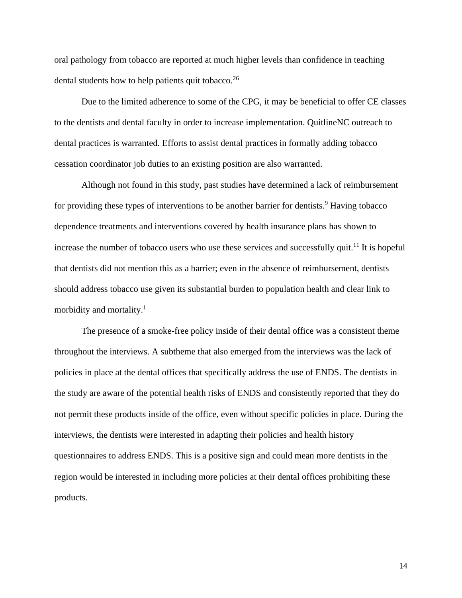oral pathology from tobacco are reported at much higher levels than confidence in teaching dental students how to help patients quit tobacco.<sup>26</sup>

Due to the limited adherence to some of the CPG, it may be beneficial to offer CE classes to the dentists and dental faculty in order to increase implementation. QuitlineNC outreach to dental practices is warranted. Efforts to assist dental practices in formally adding tobacco cessation coordinator job duties to an existing position are also warranted.

Although not found in this study, past studies have determined a lack of reimbursement for providing these types of interventions to be another barrier for dentists.<sup>9</sup> Having tobacco dependence treatments and interventions covered by health insurance plans has shown to increase the number of tobacco users who use these services and successfully quit.<sup>11</sup> It is hopeful that dentists did not mention this as a barrier; even in the absence of reimbursement, dentists should address tobacco use given its substantial burden to population health and clear link to morbidity and mortality.<sup>1</sup>

The presence of a smoke-free policy inside of their dental office was a consistent theme throughout the interviews. A subtheme that also emerged from the interviews was the lack of policies in place at the dental offices that specifically address the use of ENDS. The dentists in the study are aware of the potential health risks of ENDS and consistently reported that they do not permit these products inside of the office, even without specific policies in place. During the interviews, the dentists were interested in adapting their policies and health history questionnaires to address ENDS. This is a positive sign and could mean more dentists in the region would be interested in including more policies at their dental offices prohibiting these products.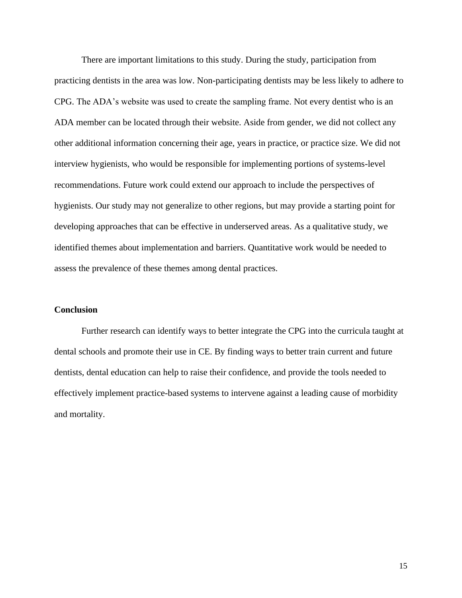There are important limitations to this study. During the study, participation from practicing dentists in the area was low. Non-participating dentists may be less likely to adhere to CPG. The ADA's website was used to create the sampling frame. Not every dentist who is an ADA member can be located through their website. Aside from gender, we did not collect any other additional information concerning their age, years in practice, or practice size. We did not interview hygienists, who would be responsible for implementing portions of systems-level recommendations. Future work could extend our approach to include the perspectives of hygienists. Our study may not generalize to other regions, but may provide a starting point for developing approaches that can be effective in underserved areas. As a qualitative study, we identified themes about implementation and barriers. Quantitative work would be needed to assess the prevalence of these themes among dental practices.

#### **Conclusion**

Further research can identify ways to better integrate the CPG into the curricula taught at dental schools and promote their use in CE. By finding ways to better train current and future dentists, dental education can help to raise their confidence, and provide the tools needed to effectively implement practice-based systems to intervene against a leading cause of morbidity and mortality.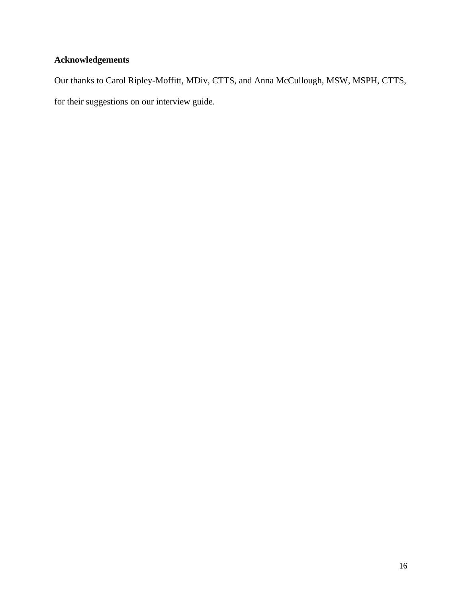## **Acknowledgements**

Our thanks to Carol Ripley-Moffitt, MDiv, CTTS, and Anna McCullough, MSW, MSPH, CTTS, for their suggestions on our interview guide.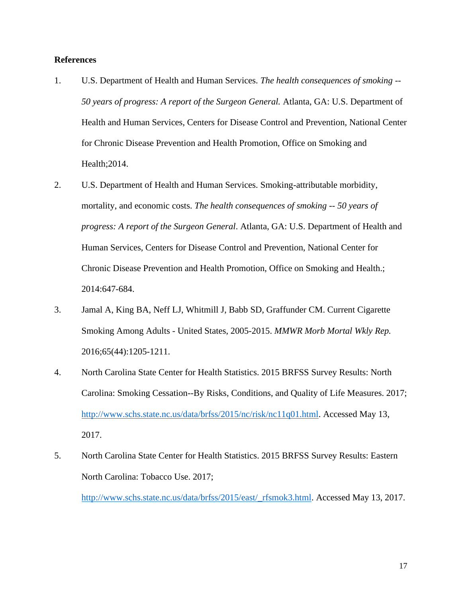#### **References**

- 1. U.S. Department of Health and Human Services. *The health consequences of smoking -- 50 years of progress: A report of the Surgeon General.* Atlanta, GA: U.S. Department of Health and Human Services, Centers for Disease Control and Prevention, National Center for Chronic Disease Prevention and Health Promotion, Office on Smoking and Health;2014.
- 2. U.S. Department of Health and Human Services. Smoking-attributable morbidity, mortality, and economic costs. *The health consequences of smoking -- 50 years of progress: A report of the Surgeon General*. Atlanta, GA: U.S. Department of Health and Human Services, Centers for Disease Control and Prevention, National Center for Chronic Disease Prevention and Health Promotion, Office on Smoking and Health.; 2014:647-684.
- 3. Jamal A, King BA, Neff LJ, Whitmill J, Babb SD, Graffunder CM. Current Cigarette Smoking Among Adults - United States, 2005-2015. *MMWR Morb Mortal Wkly Rep.*  2016;65(44):1205-1211.
- 4. North Carolina State Center for Health Statistics. 2015 BRFSS Survey Results: North Carolina: Smoking Cessation--By Risks, Conditions, and Quality of Life Measures. 2017; [http://www.schs.state.nc.us/data/brfss/2015/nc/risk/nc11q01.html.](http://www.schs.state.nc.us/data/brfss/2015/nc/risk/nc11q01.html) Accessed May 13, 2017.
- 5. North Carolina State Center for Health Statistics. 2015 BRFSS Survey Results: Eastern North Carolina: Tobacco Use. 2017;

[http://www.schs.state.nc.us/data/brfss/2015/east/\\_rfsmok3.html.](http://www.schs.state.nc.us/data/brfss/2015/east/_rfsmok3.html) Accessed May 13, 2017.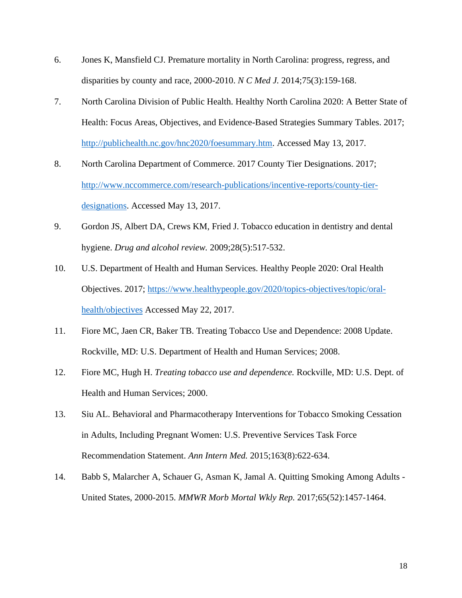- 6. Jones K, Mansfield CJ. Premature mortality in North Carolina: progress, regress, and disparities by county and race, 2000-2010. *N C Med J.* 2014;75(3):159-168.
- 7. North Carolina Division of Public Health. Healthy North Carolina 2020: A Better State of Health: Focus Areas, Objectives, and Evidence-Based Strategies Summary Tables. 2017; [http://publichealth.nc.gov/hnc2020/foesummary.htm.](http://publichealth.nc.gov/hnc2020/foesummary.htm) Accessed May 13, 2017.
- 8. North Carolina Department of Commerce. 2017 County Tier Designations. 2017; [http://www.nccommerce.com/research-publications/incentive-reports/county-tier](http://www.nccommerce.com/research-publications/incentive-reports/county-tier-designations)[designations.](http://www.nccommerce.com/research-publications/incentive-reports/county-tier-designations) Accessed May 13, 2017.
- 9. Gordon JS, Albert DA, Crews KM, Fried J. Tobacco education in dentistry and dental hygiene. *Drug and alcohol review.* 2009;28(5):517-532.
- 10. U.S. Department of Health and Human Services. Healthy People 2020: Oral Health Objectives. 2017; [https://www.healthypeople.gov/2020/topics-objectives/topic/oral](https://www.healthypeople.gov/2020/topics-objectives/topic/oral-health/objectives)[health/objectives](https://www.healthypeople.gov/2020/topics-objectives/topic/oral-health/objectives) Accessed May 22, 2017.
- 11. Fiore MC, Jaen CR, Baker TB. Treating Tobacco Use and Dependence: 2008 Update. Rockville, MD: U.S. Department of Health and Human Services; 2008.
- 12. Fiore MC, Hugh H. *Treating tobacco use and dependence.* Rockville, MD: U.S. Dept. of Health and Human Services; 2000.
- 13. Siu AL. Behavioral and Pharmacotherapy Interventions for Tobacco Smoking Cessation in Adults, Including Pregnant Women: U.S. Preventive Services Task Force Recommendation Statement. *Ann Intern Med.* 2015;163(8):622-634.
- 14. Babb S, Malarcher A, Schauer G, Asman K, Jamal A. Quitting Smoking Among Adults United States, 2000-2015. *MMWR Morb Mortal Wkly Rep.* 2017;65(52):1457-1464.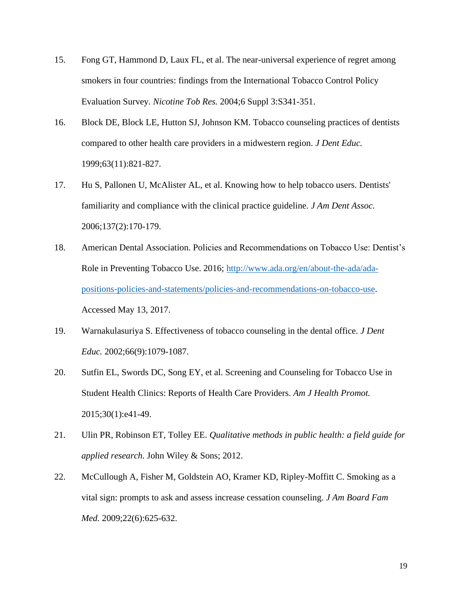- 15. Fong GT, Hammond D, Laux FL, et al. The near-universal experience of regret among smokers in four countries: findings from the International Tobacco Control Policy Evaluation Survey. *Nicotine Tob Res.* 2004;6 Suppl 3:S341-351.
- 16. Block DE, Block LE, Hutton SJ, Johnson KM. Tobacco counseling practices of dentists compared to other health care providers in a midwestern region. *J Dent Educ.*  1999;63(11):821-827.
- 17. Hu S, Pallonen U, McAlister AL, et al. Knowing how to help tobacco users. Dentists' familiarity and compliance with the clinical practice guideline. *J Am Dent Assoc.*  2006;137(2):170-179.
- 18. American Dental Association. Policies and Recommendations on Tobacco Use: Dentist's Role in Preventing Tobacco Use. 2016; [http://www.ada.org/en/about-the-ada/ada](http://www.ada.org/en/about-the-ada/ada-positions-policies-and-statements/policies-and-recommendations-on-tobacco-use)[positions-policies-and-statements/policies-and-recommendations-on-tobacco-use.](http://www.ada.org/en/about-the-ada/ada-positions-policies-and-statements/policies-and-recommendations-on-tobacco-use) Accessed May 13, 2017.
- 19. Warnakulasuriya S. Effectiveness of tobacco counseling in the dental office. *J Dent Educ.* 2002;66(9):1079-1087.
- 20. Sutfin EL, Swords DC, Song EY, et al. Screening and Counseling for Tobacco Use in Student Health Clinics: Reports of Health Care Providers. *Am J Health Promot.*  2015;30(1):e41-49.
- 21. Ulin PR, Robinson ET, Tolley EE. *Qualitative methods in public health: a field guide for applied research.* John Wiley & Sons; 2012.
- 22. McCullough A, Fisher M, Goldstein AO, Kramer KD, Ripley-Moffitt C. Smoking as a vital sign: prompts to ask and assess increase cessation counseling. *J Am Board Fam Med.* 2009;22(6):625-632.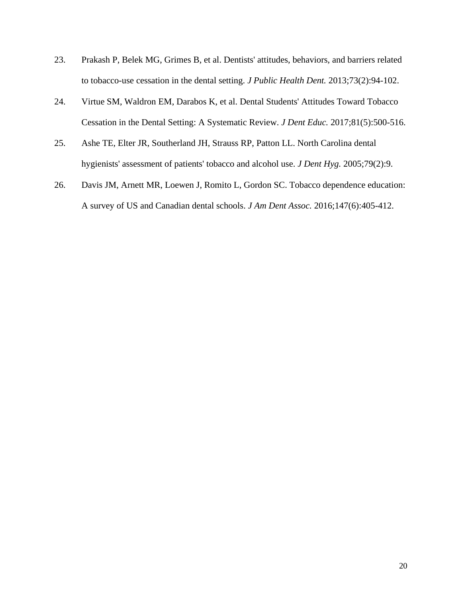- 23. Prakash P, Belek MG, Grimes B, et al. Dentists' attitudes, behaviors, and barriers related to tobacco-use cessation in the dental setting. *J Public Health Dent.* 2013;73(2):94-102.
- 24. Virtue SM, Waldron EM, Darabos K, et al. Dental Students' Attitudes Toward Tobacco Cessation in the Dental Setting: A Systematic Review. *J Dent Educ.* 2017;81(5):500-516.
- 25. Ashe TE, Elter JR, Southerland JH, Strauss RP, Patton LL. North Carolina dental hygienists' assessment of patients' tobacco and alcohol use. *J Dent Hyg.* 2005;79(2):9.
- 26. Davis JM, Arnett MR, Loewen J, Romito L, Gordon SC. Tobacco dependence education: A survey of US and Canadian dental schools. *J Am Dent Assoc.* 2016;147(6):405-412.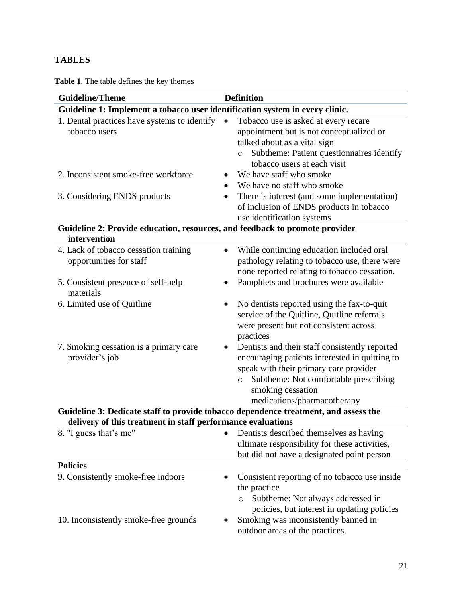### **TABLES**

**Table 1**. The table defines the key themes

| <b>Guideline/Theme</b>                                                              | <b>Definition</b>                                                                                                                                                                                                                                               |  |
|-------------------------------------------------------------------------------------|-----------------------------------------------------------------------------------------------------------------------------------------------------------------------------------------------------------------------------------------------------------------|--|
| Guideline 1: Implement a tobacco user identification system in every clinic.        |                                                                                                                                                                                                                                                                 |  |
| 1. Dental practices have systems to identify<br>tobacco users                       | Tobacco use is asked at every recare<br>$\bullet$<br>appointment but is not conceptualized or<br>talked about as a vital sign<br>Subtheme: Patient questionnaires identify<br>tobacco users at each visit                                                       |  |
| 2. Inconsistent smoke-free workforce                                                | We have staff who smoke                                                                                                                                                                                                                                         |  |
| 3. Considering ENDS products                                                        | We have no staff who smoke<br>There is interest (and some implementation)<br>of inclusion of ENDS products in tobacco<br>use identification systems                                                                                                             |  |
| Guideline 2: Provide education, resources, and feedback to promote provider         |                                                                                                                                                                                                                                                                 |  |
| intervention                                                                        |                                                                                                                                                                                                                                                                 |  |
| 4. Lack of tobacco cessation training<br>opportunities for staff                    | While continuing education included oral<br>$\bullet$<br>pathology relating to tobacco use, there were<br>none reported relating to tobacco cessation.                                                                                                          |  |
| 5. Consistent presence of self-help<br>materials                                    | Pamphlets and brochures were available                                                                                                                                                                                                                          |  |
| 6. Limited use of Quitline                                                          | No dentists reported using the fax-to-quit<br>service of the Quitline, Quitline referrals<br>were present but not consistent across<br>practices                                                                                                                |  |
| 7. Smoking cessation is a primary care<br>provider's job                            | Dentists and their staff consistently reported<br>$\bullet$<br>encouraging patients interested in quitting to<br>speak with their primary care provider<br>Subtheme: Not comfortable prescribing<br>$\circ$<br>smoking cessation<br>medications/pharmacotherapy |  |
| Guideline 3: Dedicate staff to provide tobacco dependence treatment, and assess the |                                                                                                                                                                                                                                                                 |  |
| delivery of this treatment in staff performance evaluations                         |                                                                                                                                                                                                                                                                 |  |
| 8. "I guess that's me"                                                              | Dentists described themselves as having<br>ultimate responsibility for these activities,<br>but did not have a designated point person                                                                                                                          |  |
| <b>Policies</b>                                                                     |                                                                                                                                                                                                                                                                 |  |
| 9. Consistently smoke-free Indoors<br>10. Inconsistently smoke-free grounds         | Consistent reporting of no tobacco use inside<br>$\bullet$<br>the practice<br>Subtheme: Not always addressed in<br>policies, but interest in updating policies<br>Smoking was inconsistently banned in                                                          |  |
|                                                                                     | outdoor areas of the practices.                                                                                                                                                                                                                                 |  |